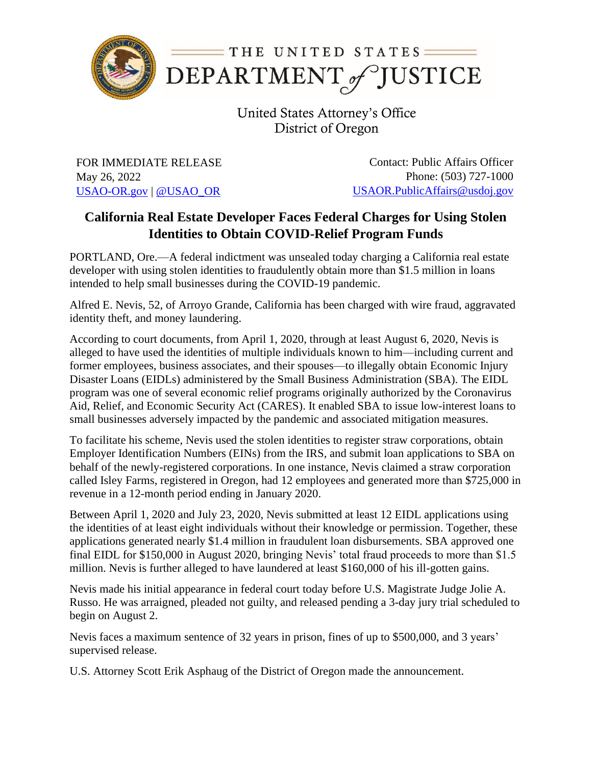

United States Attorney's Office District of Oregon

FOR IMMEDIATE RELEASE May 26, 2022 [USAO-OR.gov](http://www.usdoj.gov/usao/or) | [@USAO\\_OR](https://twitter.com/USAO_OR)

Contact: Public Affairs Officer Phone: (503) 727-1000 [USAOR.PublicAffairs@usdoj.gov](mailto:usaor.publicaffairs@usdoj.gov)

## **California Real Estate Developer Faces Federal Charges for Using Stolen Identities to Obtain COVID-Relief Program Funds**

PORTLAND, Ore.—A federal indictment was unsealed today charging a California real estate developer with using stolen identities to fraudulently obtain more than \$1.5 million in loans intended to help small businesses during the COVID-19 pandemic.

Alfred E. Nevis, 52, of Arroyo Grande, California has been charged with wire fraud, aggravated identity theft, and money laundering.

According to court documents, from April 1, 2020, through at least August 6, 2020, Nevis is alleged to have used the identities of multiple individuals known to him—including current and former employees, business associates, and their spouses—to illegally obtain Economic Injury Disaster Loans (EIDLs) administered by the Small Business Administration (SBA). The EIDL program was one of several economic relief programs originally authorized by the Coronavirus Aid, Relief, and Economic Security Act (CARES). It enabled SBA to issue low-interest loans to small businesses adversely impacted by the pandemic and associated mitigation measures.

To facilitate his scheme, Nevis used the stolen identities to register straw corporations, obtain Employer Identification Numbers (EINs) from the IRS, and submit loan applications to SBA on behalf of the newly-registered corporations. In one instance, Nevis claimed a straw corporation called Isley Farms, registered in Oregon, had 12 employees and generated more than \$725,000 in revenue in a 12-month period ending in January 2020.

Between April 1, 2020 and July 23, 2020, Nevis submitted at least 12 EIDL applications using the identities of at least eight individuals without their knowledge or permission. Together, these applications generated nearly \$1.4 million in fraudulent loan disbursements. SBA approved one final EIDL for \$150,000 in August 2020, bringing Nevis' total fraud proceeds to more than \$1.5 million. Nevis is further alleged to have laundered at least \$160,000 of his ill-gotten gains.

Nevis made his initial appearance in federal court today before U.S. Magistrate Judge Jolie A. Russo. He was arraigned, pleaded not guilty, and released pending a 3-day jury trial scheduled to begin on August 2.

Nevis faces a maximum sentence of 32 years in prison, fines of up to \$500,000, and 3 years' supervised release.

U.S. Attorney Scott Erik Asphaug of the District of Oregon made the announcement.